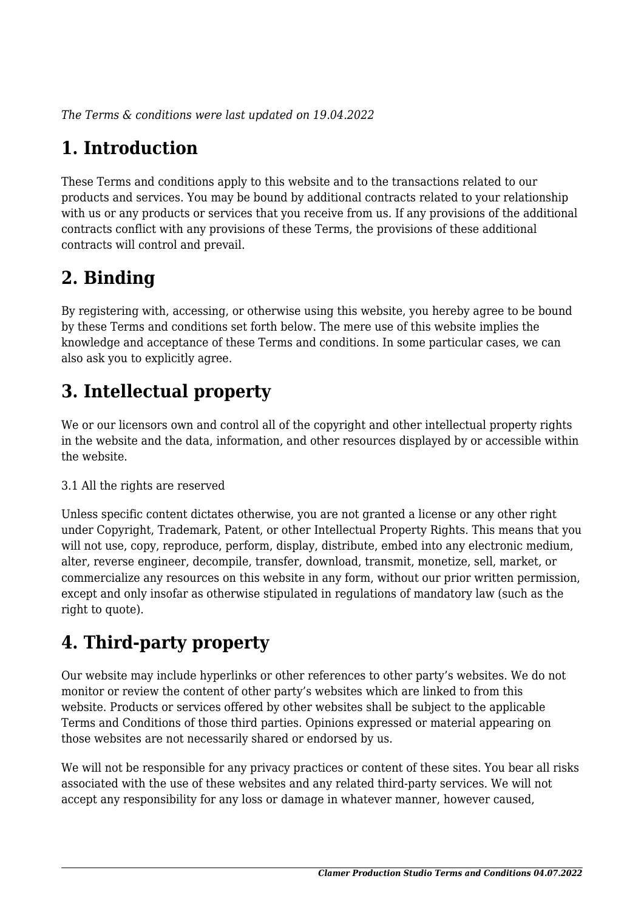*The Terms & conditions were last updated on 19.04.2022*

# **1. Introduction**

These Terms and conditions apply to this website and to the transactions related to our products and services. You may be bound by additional contracts related to your relationship with us or any products or services that you receive from us. If any provisions of the additional contracts conflict with any provisions of these Terms, the provisions of these additional contracts will control and prevail.

## **2. Binding**

By registering with, accessing, or otherwise using this website, you hereby agree to be bound by these Terms and conditions set forth below. The mere use of this website implies the knowledge and acceptance of these Terms and conditions. In some particular cases, we can also ask you to explicitly agree.

# **3. Intellectual property**

We or our licensors own and control all of the copyright and other intellectual property rights in the website and the data, information, and other resources displayed by or accessible within the website.

#### 3.1 All the rights are reserved

Unless specific content dictates otherwise, you are not granted a license or any other right under Copyright, Trademark, Patent, or other Intellectual Property Rights. This means that you will not use, copy, reproduce, perform, display, distribute, embed into any electronic medium, alter, reverse engineer, decompile, transfer, download, transmit, monetize, sell, market, or commercialize any resources on this website in any form, without our prior written permission, except and only insofar as otherwise stipulated in regulations of mandatory law (such as the right to quote).

# **4. Third-party property**

Our website may include hyperlinks or other references to other party's websites. We do not monitor or review the content of other party's websites which are linked to from this website. Products or services offered by other websites shall be subject to the applicable Terms and Conditions of those third parties. Opinions expressed or material appearing on those websites are not necessarily shared or endorsed by us.

We will not be responsible for any privacy practices or content of these sites. You bear all risks associated with the use of these websites and any related third-party services. We will not accept any responsibility for any loss or damage in whatever manner, however caused,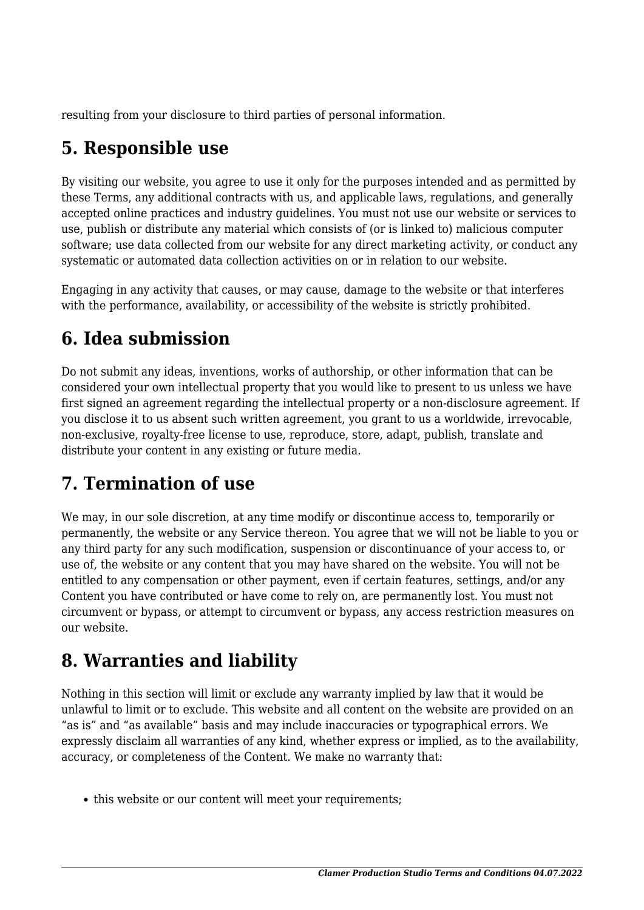resulting from your disclosure to third parties of personal information.

## **5. Responsible use**

By visiting our website, you agree to use it only for the purposes intended and as permitted by these Terms, any additional contracts with us, and applicable laws, regulations, and generally accepted online practices and industry guidelines. You must not use our website or services to use, publish or distribute any material which consists of (or is linked to) malicious computer software; use data collected from our website for any direct marketing activity, or conduct any systematic or automated data collection activities on or in relation to our website.

Engaging in any activity that causes, or may cause, damage to the website or that interferes with the performance, availability, or accessibility of the website is strictly prohibited.

## **6. Idea submission**

Do not submit any ideas, inventions, works of authorship, or other information that can be considered your own intellectual property that you would like to present to us unless we have first signed an agreement regarding the intellectual property or a non-disclosure agreement. If you disclose it to us absent such written agreement, you grant to us a worldwide, irrevocable, non-exclusive, royalty-free license to use, reproduce, store, adapt, publish, translate and distribute your content in any existing or future media.

## **7. Termination of use**

We may, in our sole discretion, at any time modify or discontinue access to, temporarily or permanently, the website or any Service thereon. You agree that we will not be liable to you or any third party for any such modification, suspension or discontinuance of your access to, or use of, the website or any content that you may have shared on the website. You will not be entitled to any compensation or other payment, even if certain features, settings, and/or any Content you have contributed or have come to rely on, are permanently lost. You must not circumvent or bypass, or attempt to circumvent or bypass, any access restriction measures on our website.

## **8. Warranties and liability**

Nothing in this section will limit or exclude any warranty implied by law that it would be unlawful to limit or to exclude. This website and all content on the website are provided on an "as is" and "as available" basis and may include inaccuracies or typographical errors. We expressly disclaim all warranties of any kind, whether express or implied, as to the availability, accuracy, or completeness of the Content. We make no warranty that:

• this website or our content will meet your requirements;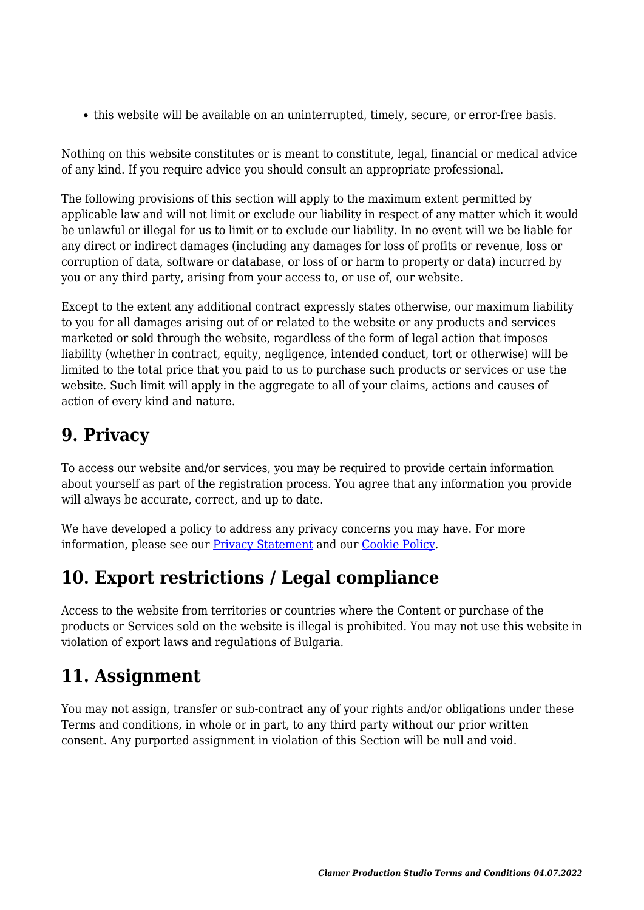this website will be available on an uninterrupted, timely, secure, or error-free basis.

Nothing on this website constitutes or is meant to constitute, legal, financial or medical advice of any kind. If you require advice you should consult an appropriate professional.

The following provisions of this section will apply to the maximum extent permitted by applicable law and will not limit or exclude our liability in respect of any matter which it would be unlawful or illegal for us to limit or to exclude our liability. In no event will we be liable for any direct or indirect damages (including any damages for loss of profits or revenue, loss or corruption of data, software or database, or loss of or harm to property or data) incurred by you or any third party, arising from your access to, or use of, our website.

Except to the extent any additional contract expressly states otherwise, our maximum liability to you for all damages arising out of or related to the website or any products and services marketed or sold through the website, regardless of the form of legal action that imposes liability (whether in contract, equity, negligence, intended conduct, tort or otherwise) will be limited to the total price that you paid to us to purchase such products or services or use the website. Such limit will apply in the aggregate to all of your claims, actions and causes of action of every kind and nature.

#### **9. Privacy**

To access our website and/or services, you may be required to provide certain information about yourself as part of the registration process. You agree that any information you provide will always be accurate, correct, and up to date.

We have developed a policy to address any privacy concerns you may have. For more information, please see our **Privacy Statement** and our **[Cookie Policy](https://clamer.bg/cookie-policy/)**.

#### **10. Export restrictions / Legal compliance**

Access to the website from territories or countries where the Content or purchase of the products or Services sold on the website is illegal is prohibited. You may not use this website in violation of export laws and regulations of Bulgaria.

## **11. Assignment**

You may not assign, transfer or sub-contract any of your rights and/or obligations under these Terms and conditions, in whole or in part, to any third party without our prior written consent. Any purported assignment in violation of this Section will be null and void.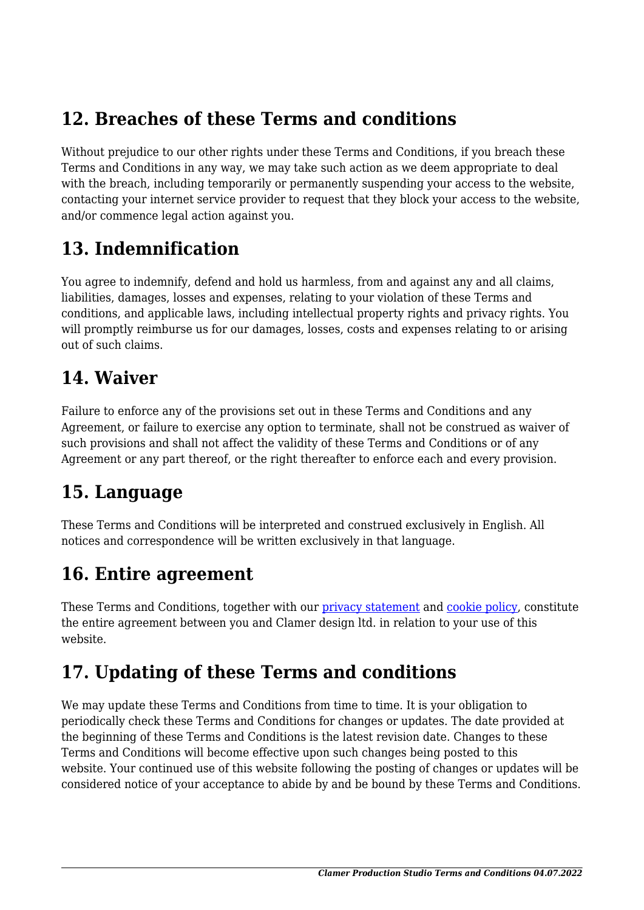#### **12. Breaches of these Terms and conditions**

Without prejudice to our other rights under these Terms and Conditions, if you breach these Terms and Conditions in any way, we may take such action as we deem appropriate to deal with the breach, including temporarily or permanently suspending your access to the website, contacting your internet service provider to request that they block your access to the website, and/or commence legal action against you.

#### **13. Indemnification**

You agree to indemnify, defend and hold us harmless, from and against any and all claims, liabilities, damages, losses and expenses, relating to your violation of these Terms and conditions, and applicable laws, including intellectual property rights and privacy rights. You will promptly reimburse us for our damages, losses, costs and expenses relating to or arising out of such claims.

#### **14. Waiver**

Failure to enforce any of the provisions set out in these Terms and Conditions and any Agreement, or failure to exercise any option to terminate, shall not be construed as waiver of such provisions and shall not affect the validity of these Terms and Conditions or of any Agreement or any part thereof, or the right thereafter to enforce each and every provision.

#### **15. Language**

These Terms and Conditions will be interpreted and construed exclusively in English. All notices and correspondence will be written exclusively in that language.

#### **16. Entire agreement**

These Terms and Conditions, together with our privacy statement and [cookie policy,](https://clamer.bg/cookie-policy/) constitute the entire agreement between you and Clamer design ltd. in relation to your use of this website.

## **17. Updating of these Terms and conditions**

We may update these Terms and Conditions from time to time. It is your obligation to periodically check these Terms and Conditions for changes or updates. The date provided at the beginning of these Terms and Conditions is the latest revision date. Changes to these Terms and Conditions will become effective upon such changes being posted to this website. Your continued use of this website following the posting of changes or updates will be considered notice of your acceptance to abide by and be bound by these Terms and Conditions.